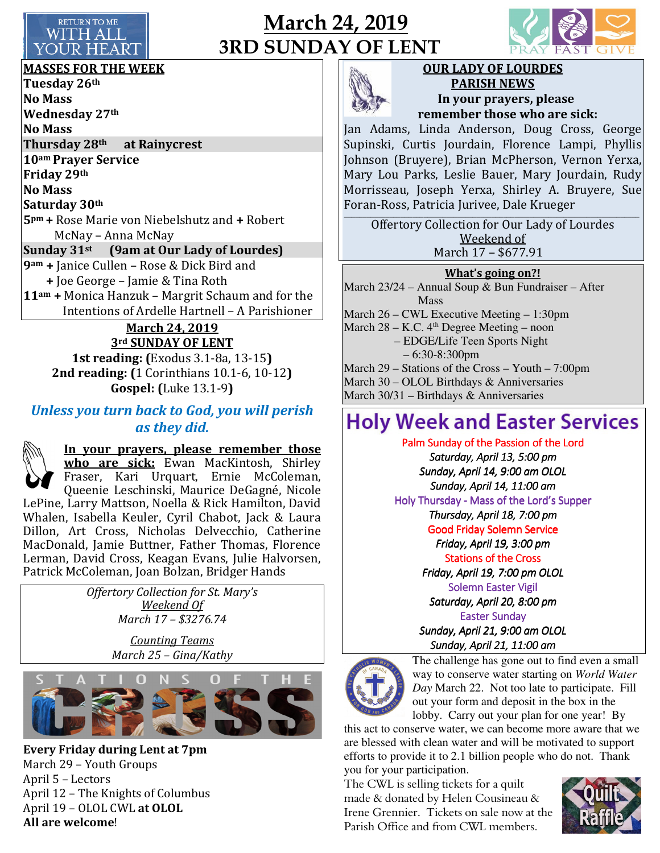

## March 24, 2019 3RD SUNDAY OF LENT



MASSES FOR THE WEEK

Tuesday 26th No Mass Wednesday 27th No Mass Thursday 28<sup>th</sup> at Rainycrest 10am Prayer Service Friday 29th No Mass Saturday 30th 5pm + Rose Marie von Niebelshutz and + Robert McNay – Anna McNay Sunday 31<sup>st</sup> (9am at Our Lady of Lourdes) 9am + Janice Cullen – Rose & Dick Bird and + Joe George – Jamie & Tina Roth 11am + Monica Hanzuk – Margrit Schaum and for the Intentions of Ardelle Hartnell – A Parishioner March 24, 2019 3rd SUNDAY OF LENT

1st reading: (Exodus 3.1-8a, 13-15) 2nd reading: (1 Corinthians 10.1-6, 10-12) Gospel: (Luke 13.1-9)

### Unless you turn back to God, you will perish as they did.

In your prayers, please remember those who are sick: Ewan MacKintosh, Shirley Fraser, Kari Urquart, Ernie McColeman,

Queenie Leschinski, Maurice DeGagné, Nicole LePine, Larry Mattson, Noella & Rick Hamilton, David Whalen, Isabella Keuler, Cyril Chabot, Jack & Laura Dillon, Art Cross, Nicholas Delvecchio, Catherine MacDonald, Jamie Buttner, Father Thomas, Florence Lerman, David Cross, Keagan Evans, Julie Halvorsen, Patrick McColeman, Joan Bolzan, Bridger Hands

> Offertory Collection for St. Mary's Weekend Of March 17 – \$3276.74

> > Counting Teams March 25 – Gina/Kathy



Every Friday during Lent at 7pm March 29 – Youth Groups April 5 – Lectors April 12 – The Knights of Columbus April 19 – OLOL CWL at OLOL All are welcome!



OUR LADY OF LOURDES PARISH NEWS In your prayers, please remember those who are sick:

Jan Adams, Linda Anderson, Doug Cross, George Supinski, Curtis Jourdain, Florence Lampi, Phyllis Johnson (Bruyere), Brian McPherson, Vernon Yerxa, Mary Lou Parks, Leslie Bauer, Mary Jourdain, Rudy Morrisseau, Joseph Yerxa, Shirley A. Bruyere, Sue Foran-Ross, Patricia Jurivee, Dale Krueger  $\mathcal{L}_\text{max}$ 

Offertory Collection for Our Lady of Lourdes Weekend of March 17 – \$677.91

#### What's going on?!

March  $23/24$  – Annual Soup & Bun Fundraiser – After Mass March 26 – CWL Executive Meeting – 1:30pm March  $28 - K.C.$  4<sup>th</sup> Degree Meeting – noon – EDGE/Life Teen Sports Night – 6:30-8:300pm March 29 – Stations of the Cross – Youth – 7:00pm March 30 – OLOL Birthdays & Anniversaries March 30/31 – Birthdays & Anniversaries

# **Holy Week and Easter Services**

Palm Sunday of the Passion of the Lord Saturday, April 13, 5:00 pm Sunday, April 14, 9:00 am OLOL Sunday, April 14, 11:00 am Holy Thursday - Mass of the Lord's Supper Thursday, April 18, 7:00 pm Good Friday Solemn Service Friday, April 19, 3:00 pm Stations of the Cross Friday, April 19, 7:00 pm OLOL Solemn Easter Vigil Saturday, April 20, 8:00 pm **Easter Sunday** Sunday, April 21, 9:00 am OLOL Sunday, April 21, 11:00 am



The challenge has gone out to find even a small way to conserve water starting on *World Water Day* March 22. Not too late to participate. Fill out your form and deposit in the box in the lobby. Carry out your plan for one year! By

this act to conserve water, we can become more aware that we are blessed with clean water and will be motivated to support efforts to provide it to 2.1 billion people who do not. Thank you for your participation.

The CWL is selling tickets for a quilt made & donated by Helen Cousineau & Irene Grennier. Tickets on sale now at the Parish Office and from CWL members.